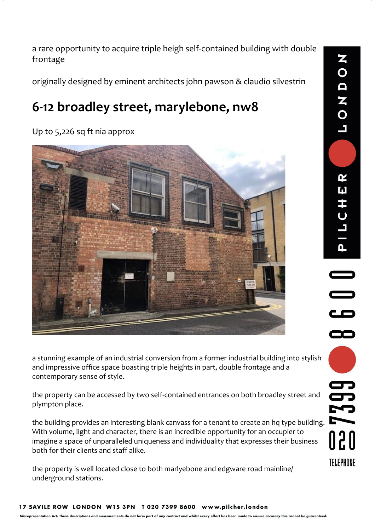a rare opportunity to acquire triple heigh self-contained building with double frontage

originally designed by eminent architects john pawson & claudio silvestrin

# **6-12 broadley street, marylebone, nw8**

Up to 5,226 sq ft nia approx



a stunning example of an industrial conversion from a former industrial building into stylish and impressive office space boasting triple heights in part, double frontage and a contemporary sense of style.

the property can be accessed by two self-contained entrances on both broadley street and plympton place.

the building provides an interesting blank canvass for a tenant to create an hq type building. With volume, light and character, there is an incredible opportunity for an occupier to imagine a space of unparalleled uniqueness and individuality that expresses their business both for their clients and staff alike.

the property is well located close to both marlyebone and edgware road mainline/ underground stations.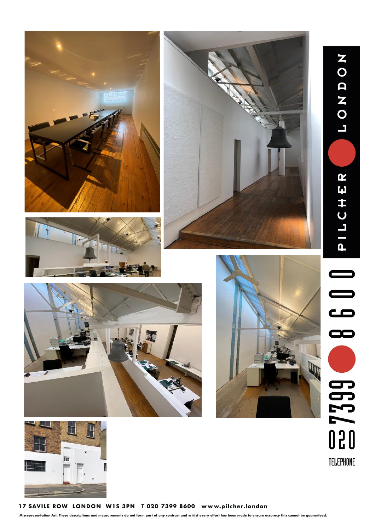





NONDOT

PILCHER

7399

TELEPHONE







17 SAVILE ROW LONDON W1S 3PN T 020 7399 8600 www.pilcher.london

Misrepresentation Act. These descriptions and measurements do not form part of any contract and whilst every effort has been made to ensure accuracy this cannot be guaranteed.